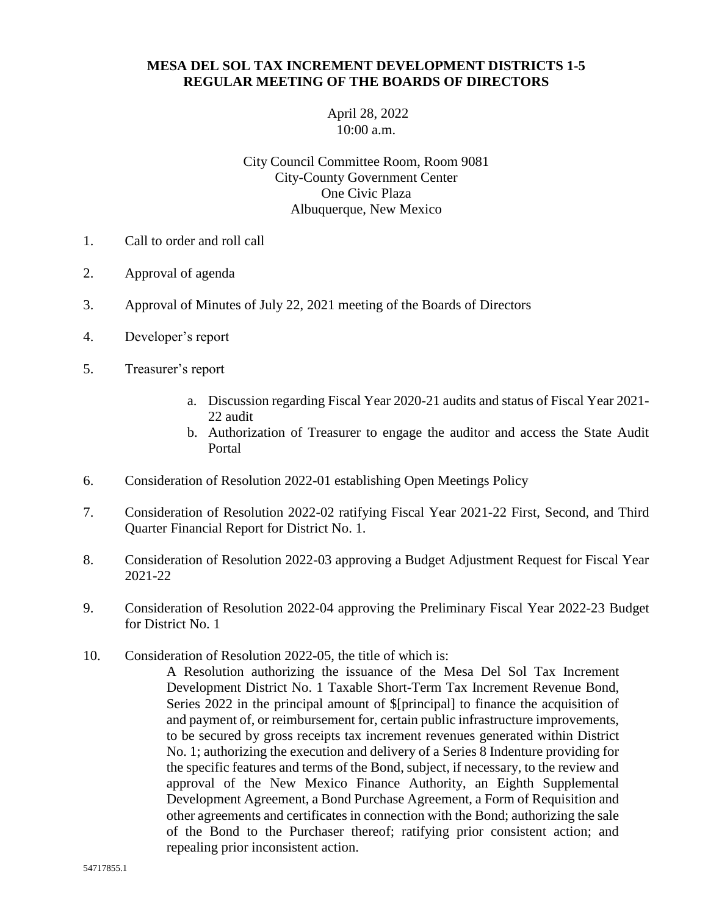## **MESA DEL SOL TAX INCREMENT DEVELOPMENT DISTRICTS 1-5 REGULAR MEETING OF THE BOARDS OF DIRECTORS**

April 28, 2022 10:00 a.m.

City Council Committee Room, Room 9081 City-County Government Center One Civic Plaza Albuquerque, New Mexico

- 1. Call to order and roll call
- 2. Approval of agenda
- 3. Approval of Minutes of July 22, 2021 meeting of the Boards of Directors
- 4. Developer's report
- 5. Treasurer's report
	- a. Discussion regarding Fiscal Year 2020-21 audits and status of Fiscal Year 2021- 22 audit
	- b. Authorization of Treasurer to engage the auditor and access the State Audit Portal
- 6. Consideration of Resolution 2022-01 establishing Open Meetings Policy
- 7. Consideration of Resolution 2022-02 ratifying Fiscal Year 2021-22 First, Second, and Third Quarter Financial Report for District No. 1.
- 8. Consideration of Resolution 2022-03 approving a Budget Adjustment Request for Fiscal Year 2021-22
- 9. Consideration of Resolution 2022-04 approving the Preliminary Fiscal Year 2022-23 Budget for District No. 1
- 10. Consideration of Resolution 2022-05, the title of which is:
	- A Resolution authorizing the issuance of the Mesa Del Sol Tax Increment Development District No. 1 Taxable Short-Term Tax Increment Revenue Bond, Series 2022 in the principal amount of \$[principal] to finance the acquisition of and payment of, or reimbursement for, certain public infrastructure improvements, to be secured by gross receipts tax increment revenues generated within District No. 1; authorizing the execution and delivery of a Series 8 Indenture providing for the specific features and terms of the Bond, subject, if necessary, to the review and approval of the New Mexico Finance Authority, an Eighth Supplemental Development Agreement, a Bond Purchase Agreement, a Form of Requisition and other agreements and certificates in connection with the Bond; authorizing the sale of the Bond to the Purchaser thereof; ratifying prior consistent action; and repealing prior inconsistent action.